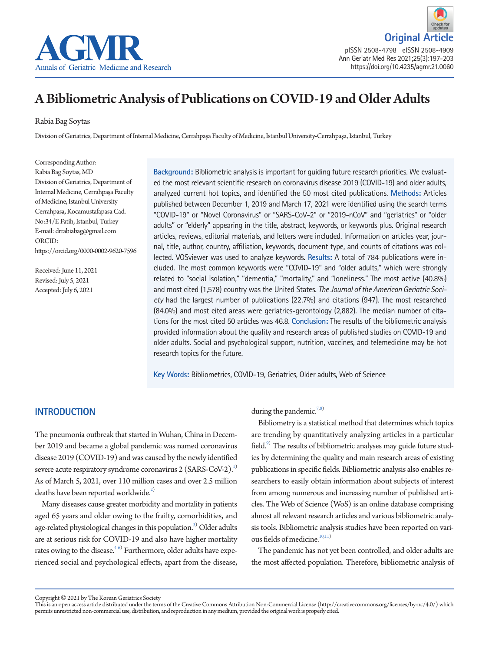

**Original Artic** pISSN 2508-4798 eISSN 2508-4909 Ann Geriatr Med Res 2021;25(3):197-203 https://doi.org/10.4235/agmr.21.0060

# A Bibliometric Analysis of Publications on COVID-19 and Older Adults

Rabia Bag Soytas

Division of Geriatrics, Department of Internal Medicine, Cerrahpaşa Faculty of Medicine, Istanbul University-Cerrahpaşa, Istanbul, Turkey

Corresponding Author: Rabia Bag Soytas, MD Division of Geriatrics, Department of Internal Medicine, Cerrahpaşa Faculty of Medicine, Istanbul University-Cerrahpasa, Kocamustafapasa Cad. No:34/E Fatih, Istanbul, Turkey E-mail: drrabiabag@gmail.com ORCID: https://orcid.org/0000-0002-9620-7596

Received: June 11, 2021 Revised: July 5, 2021 Accepted: July 6, 2021

**Background:** Bibliometric analysis is important for guiding future research priorities. We evaluated the most relevant scientific research on coronavirus disease 2019 (COVID-19) and older adults, analyzed current hot topics, and identified the 50 most cited publications. **Methods:** Articles published between December 1, 2019 and March 17, 2021 were identified using the search terms "COVID-19" or "Novel Coronavirus" or "SARS-CoV-2" or "2019-nCoV" and "geriatrics" or "older adults" or "elderly" appearing in the title, abstract, keywords, or keywords plus. Original research articles, reviews, editorial materials, and letters were included. Information on articles year, journal, title, author, country, affiliation, keywords, document type, and counts of citations was collected. VOSviewer was used to analyze keywords. **Results:** A total of 784 publications were included. The most common keywords were "COVID-19" and "older adults," which were strongly related to "social isolation," "dementia," "mortality," and "loneliness." The most active (40.8%) and most cited (1,578) country was the United States. *The Journal of the American Geriatric Society* had the largest number of publications (22.7%) and citations (947). The most researched (84.0%) and most cited areas were geriatrics-gerontology (2,882). The median number of citations for the most cited 50 articles was 46.8. **Conclusion:** The results of the bibliometric analysis provided information about the quality and research areas of published studies on COVID-19 and older adults. Social and psychological support, nutrition, vaccines, and telemedicine may be hot research topics for the future.

**Key Words:** Bibliometrics, COVID-19, Geriatrics, Older adults, Web of Science

#### **INTRODUCTION**

The pneumonia outbreak that started in Wuhan, China in December 2019 and became a global pandemic was named coronavirus disease 2019 (COVID-19) and was caused by the newly identified severe acute respiratory syndrome coronavirus 2 (SARS-CoV-2).<sup>1)</sup> As of March 5, 2021, over 110 million cases and over 2.5 million deaths have been reported worldwide. $^{2)}$ 

Many diseases cause greater morbidity and mortality in patients aged 65 years and older owing to the frailty, comorbidities, and age-related physiological changes in this population.<sup>3)</sup> Older adults are at serious risk for COVID-19 and also have higher mortality rates owing to the disease. $^{4-6)}$  $^{4-6)}$  $^{4-6)}$  Furthermore, older adults have experienced social and psychological effects, apart from the disease,

during the pandemic.<sup>[7](#page-6-5),[8](#page-6-6))</sup>

Bibliometry is a statistical method that determines which topics are trending by quantitatively analyzing articles in a particular field.<sup>[9](#page-6-7))</sup> The results of bibliometric analyses may guide future studies by determining the quality and main research areas of existing publications in specific fields. Bibliometric analysis also enables researchers to easily obtain information about subjects of interest from among numerous and increasing number of published articles. The Web of Science (WoS) is an online database comprising almost all relevant research articles and various bibliometric analysis tools. Bibliometric analysis studies have been reported on vari-ous fields of medicine.<sup>[10](#page-6-8),[11](#page-6-9))</sup>

The pandemic has not yet been controlled, and older adults are the most affected population. Therefore, bibliometric analysis of

Copyright © 2021 by The Korean Geriatrics Society

This is an open access article distributed under the terms of the Creative Commons Attribution Non-Commercial License (http://creativecommons.org/licenses/by-nc/4.0/) which permits unrestricted non-commercial use, distribution, and reproduction in any medium, provided the original work is properly cited.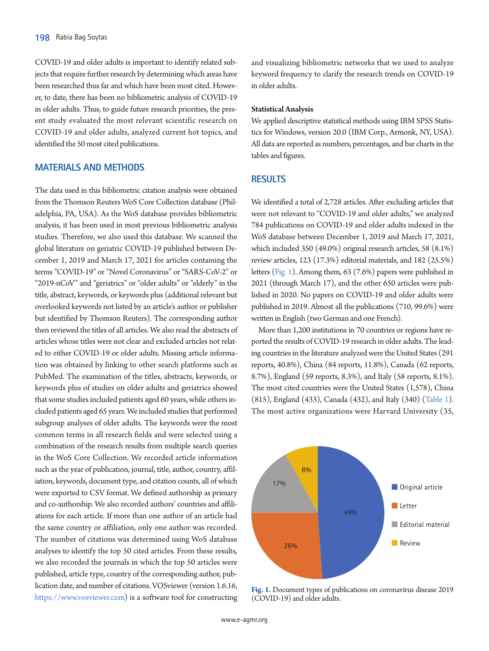COVID-19 and older adults is important to identify related subjects that require further research by determining which areas have been researched thus far and which have been most cited. However, to date, there has been no bibliometric analysis of COVID-19 in older adults. Thus, to guide future research priorities, the present study evaluated the most relevant scientific research on COVID-19 and older adults, analyzed current hot topics, and identified the 50 most cited publications.

## **MATERIALS AND METHODS**

The data used in this bibliometric citation analysis were obtained from the Thomson Reuters WoS Core Collection database (Philadelphia, PA, USA). As the WoS database provides bibliometric analysis, it has been used in most previous bibliometric analysis studies. Therefore, we also used this database. We scanned the global literature on geriatric COVID-19 published between December 1, 2019 and March 17, 2021 for articles containing the terms "COVID-19" or "Novel Coronavirus" or "SARS-CoV-2" or "2019-nCoV" and "geriatrics" or "older adults" or "elderly" in the title, abstract, keywords, or keywords plus (additional relevant but overlooked keywords not listed by an article's author or publisher but identified by Thomson Reuters). The corresponding author then reviewed the titles of all articles. We also read the abstracts of articles whose titles were not clear and excluded articles not related to either COVID-19 or older adults. Missing article information was obtained by linking to other search platforms such as PubMed. The examination of the titles, abstracts, keywords, or keywords plus of studies on older adults and geriatrics showed that some studies included patients aged 60 years, while others included patients aged 65 years. We included studies that performed subgroup analyses of older adults. The keywords were the most common terms in all research fields and were selected using a combination of the research results from multiple search queries in the WoS Core Collection. We recorded article information such as the year of publication, journal, title, author, country, affiliation, keywords, document type, and citation counts, all of which were exported to CSV format. We defined authorship as primary and co-authorship. We also recorded authors' countries and affiliations for each article. If more than one author of an article had the same country or affiliation, only one author was recorded. The number of citations was determined using WoS database analyses to identify the top 50 cited articles. From these results, we also recorded the journals in which the top 50 articles were published, article type, country of the corresponding author, publication date, and number of citations. VOSviewer (version 1.6.16, https:/[/www.vosviewer.com](https://www.vosviewer.com)) is a software tool for constructing

and visualizing bibliometric networks that we used to analyze keyword frequency to clarify the research trends on COVID-19 in older adults.

#### **Statistical Analysis**

We applied descriptive statistical methods using IBM SPSS Statistics for Windows, version 20.0 (IBM Corp., Armonk, NY, USA). All data are reported as numbers, percentages, and bar charts in the tables and figures.

## **RESULTS**

We identified a total of 2,728 articles. After excluding articles that were not relevant to "COVID-19 and older adults," we analyzed 784 publications on COVID-19 and older adults indexed in the WoS database between December 1, 2019 and March 17, 2021, which included 350 (49.0%) original research articles, 58 (8.1%) review articles, 123 (17.3%) editorial materials, and 182 (25.5%) letters [\(Fig. 1\)](#page-6-2). Among them, 63 (7.6%) papers were published in 2021 (through March 17), and the other 650 articles were published in 2020. No papers on COVID-19 and older adults were published in 2019. Almost all the publications (710, 99.6%) were written in English (two German and one French).

More than 1,200 institutions in 70 countries or regions have reported the results of COVID-19 research in older adults. The leading countries in the literature analyzed were the United States (291 reports, 40.8%), China (84 reports, 11.8%), Canada (62 reports, 8.7%), England (59 reports, 8.3%), and Italy (58 reports, 8.1%). The most cited countries were the United States (1,578), China (815), England (433), Canada (432), and Italy (340) [\(Table 1\)](#page-2-0). The most active organizations were Harvard University (35,



**Fig. 1.** Document types of publications on coronavirus disease 2019 (COVID-19) and older adults.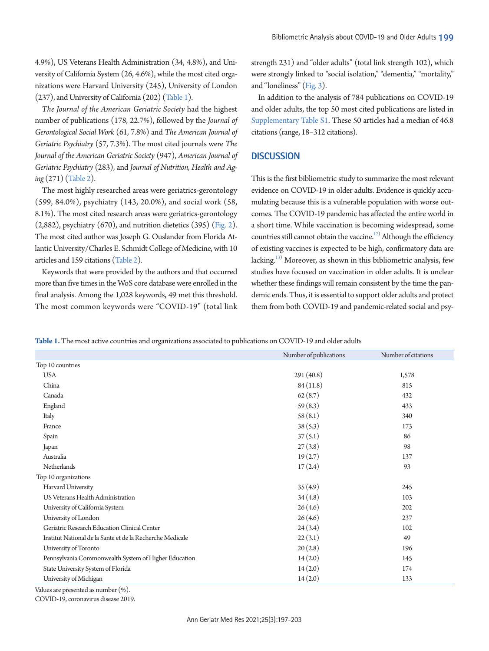4.9%), US Veterans Health Administration (34, 4.8%), and University of California System (26, 4.6%), while the most cited organizations were Harvard University (245), University of London (237), and University of California (202) [\(Table 1](#page-2-0)).

*The Journal of the American Geriatric Society* had the highest number of publications (178, 22.7%), followed by the *Journal of Gerontological Social Work* (61, 7.8%) and *The American Journal of Geriatric Psychiatry* (57, 7.3%). The most cited journals were *The Journal of the American Geriatric Society* (947), *American Journal of Geriatric Psychiatry* (283), and *Journal of Nutrition, Health and Aging* (271) [\(Table 2](#page-3-0)).

The most highly researched areas were geriatrics-gerontology (599, 84.0%), psychiatry (143, 20.0%), and social work (58, 8.1%). The most cited research areas were geriatrics-gerontology (2,882), psychiatry (670), and nutrition dietetics (395) [\(Fig. 2\)](#page-4-0). The most cited author was Joseph G. Ouslander from Florida Atlantic University/Charles E. Schmidt College of Medicine, with 10 articles and 159 citations [\(Table 2](#page-3-0)).

Keywords that were provided by the authors and that occurred more than five times in the WoS core database were enrolled in the final analysis. Among the 1,028 keywords, 49 met this threshold. The most common keywords were "COVID-19" (total link strength 231) and "older adults" (total link strength 102), which were strongly linked to "social isolation," "dementia," "mortality," and "loneliness" [\(Fig. 3](#page-5-0)).

In addition to the analysis of 784 publications on COVID-19 and older adults, the top 50 most cited publications are listed in [Supplementary Table S1.](#page-5-1) These 50 articles had a median of 46.8 citations (range, 18–312 citations).

## **DISCUSSION**

This is the first bibliometric study to summarize the most relevant evidence on COVID-19 in older adults. Evidence is quickly accumulating because this is a vulnerable population with worse outcomes. The COVID-19 pandemic has affected the entire world in a short time. While vaccination is becoming widespread, some countries still cannot obtain the vaccine.<sup>12</sup> Although the efficiency of existing vaccines is expected to be high, confirmatory data are lacking.<sup>[13](#page-6-11))</sup> Moreover, as shown in this bibliometric analysis, few studies have focused on vaccination in older adults. It is unclear whether these findings will remain consistent by the time the pandemic ends. Thus, it is essential to support older adults and protect them from both COVID-19 and pandemic-related social and psy-

<span id="page-2-0"></span>**Table 1.** The most active countries and organizations associated to publications on COVID-19 and older adults

|                                                           | Number of publications | Number of citations |
|-----------------------------------------------------------|------------------------|---------------------|
| Top 10 countries                                          |                        |                     |
| <b>USA</b>                                                | 291 (40.8)             | 1,578               |
| China                                                     | 84(11.8)               | 815                 |
| Canada                                                    | 62(8.7)                | 432                 |
| England                                                   | 59(8.3)                | 433                 |
| Italy                                                     | 58(8.1)                | 340                 |
| France                                                    | 38(5.3)                | 173                 |
| Spain                                                     | 37(5.1)                | 86                  |
| Japan                                                     | 27(3.8)                | 98                  |
| Australia                                                 | 19(2.7)                | 137                 |
| Netherlands                                               | 17(2.4)                | 93                  |
| Top 10 organizations                                      |                        |                     |
| Harvard University                                        | 35(4.9)                | 245                 |
| US Veterans Health Administration                         | 34(4.8)                | 103                 |
| University of California System                           | 26(4.6)                | 202                 |
| University of London                                      | 26(4.6)                | 237                 |
| Geriatric Research Education Clinical Center              | 24(3.4)                | 102                 |
| Institut National de la Sante et de la Recherche Medicale | 22(3.1)                | 49                  |
| University of Toronto                                     | 20(2.8)                | 196                 |
| Pennsylvania Commonwealth System of Higher Education      | 14(2.0)                | 145                 |
| State University System of Florida                        | 14(2.0)                | 174                 |
| University of Michigan                                    | 14(2.0)                | 133                 |

Values are presented as number (%).

COVID-19, coronavirus disease 2019.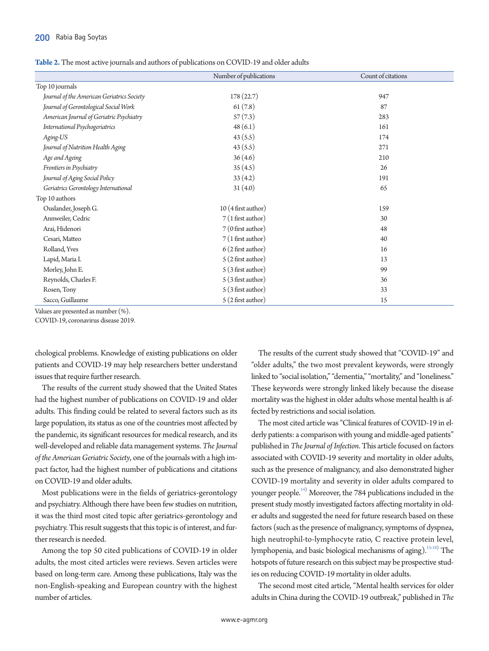<span id="page-3-0"></span>

|                                            | Number of publications | Count of citations |
|--------------------------------------------|------------------------|--------------------|
| Top 10 journals                            |                        |                    |
| Journal of the American Geriatrics Society | 178(22.7)              | 947                |
| Journal of Gerontological Social Work      | 61(7.8)                | 87                 |
| American Journal of Geriatric Psychiatry   | 57(7.3)                | 283                |
| International Psychogeriatrics             | 48(6.1)                | 161                |
| Aging-US                                   | 43(5.5)                | 174                |
| Journal of Nutrition Health Aging          | 43(5.5)                | 271                |
| Age and Ageing                             | 36(4.6)                | 210                |
| Frontiers in Psychiatry                    | 35(4.5)                | 26                 |
| Journal of Aging Social Policy             | 33(4.2)                | 191                |
| Geriatrics Gerontology International       | 31(4.0)                | 65                 |
| Top 10 authors                             |                        |                    |
| Ouslander, Joseph G.                       | 10 (4 first author)    | 159                |
| Annweiler, Cedric                          | $7(1$ first author)    | 30                 |
| Arai, Hidenori                             | 7 (0 first author)     | 48                 |
| Cesari, Matteo                             | 7 (1 first author)     | 40                 |
| Rolland, Yves                              | $6(2$ first author)    | 16                 |
| Lapid, Maria I.                            | $5(2$ first author)    | 13                 |
| Morley, John E.                            | 5 (3 first author)     | 99                 |
| Reynolds, Charles F.                       | 5 (3 first author)     | 36                 |
| Rosen, Tony                                | 5 (3 first author)     | 33                 |
| Sacco, Guillaume                           | 5 (2 first author)     | 15                 |

Values are presented as number (%).

COVID-19, coronavirus disease 2019.

chological problems. Knowledge of existing publications on older patients and COVID-19 may help researchers better understand issues that require further research.

The results of the current study showed that the United States had the highest number of publications on COVID-19 and older adults. This finding could be related to several factors such as its large population, its status as one of the countries most affected by the pandemic, its significant resources for medical research, and its well-developed and reliable data management systems. *The Journal of the American Geriatric Society*, one of the journals with a high impact factor, had the highest number of publications and citations on COVID-19 and older adults.

Most publications were in the fields of geriatrics-gerontology and psychiatry. Although there have been few studies on nutrition, it was the third most cited topic after geriatrics-gerontology and psychiatry. This result suggests that this topic is of interest, and further research is needed.

Among the top 50 cited publications of COVID-19 in older adults, the most cited articles were reviews. Seven articles were based on long-term care. Among these publications, Italy was the non-English-speaking and European country with the highest number of articles.

The results of the current study showed that "COVID-19" and "older adults," the two most prevalent keywords, were strongly linked to "social isolation," "dementia," "mortality," and "loneliness." These keywords were strongly linked likely because the disease mortality was the highest in older adults whose mental health is affected by restrictions and social isolation.

The most cited article was "Clinical features of COVID-19 in elderly patients: a comparison with young and middle-aged patients" published in *The Journal of Infection*. This article focused on factors associated with COVID-19 severity and mortality in older adults, such as the presence of malignancy, and also demonstrated higher COVID-19 mortality and severity in older adults compared to younger people.<sup>14)</sup> Moreover, the 784 publications included in the present study mostly investigated factors affecting mortality in older adults and suggested the need for future research based on these factors (such as the presence of malignancy, symptoms of dyspnea, high neutrophil-to-lymphocyte ratio, C reactive protein level, lymphopenia, and basic biological mechanisms of aging).<sup>[15](#page-6-13)[-18](#page-6-14))</sup> The hotspots of future research on this subject may be prospective studies on reducing COVID-19 mortality in older adults.

The second most cited article, "Mental health services for older adults in China during the COVID-19 outbreak," published in *The*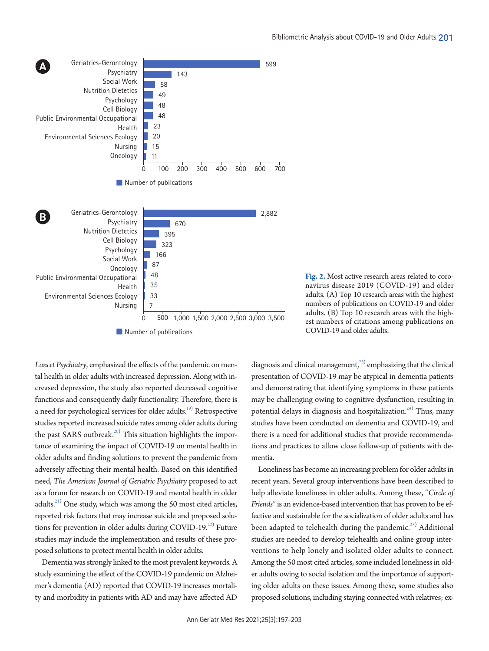

<span id="page-4-0"></span>

**Fig. 2.** Most active research areas related to coronavirus disease 2019 (COVID-19) and older adults. (A) Top 10 research areas with the highest numbers of publications on COVID-19 and older adults. (B) Top 10 research areas with the highest numbers of citations among publications on COVID-19 and older adults.

*Lancet Psychiatry*, emphasized the effects of the pandemic on mental health in older adults with increased depression. Along with increased depression, the study also reported decreased cognitive functions and consequently daily functionality. Therefore, there is a need for psychological services for older adults.<sup>19)</sup> Retrospective studies reported increased suicide rates among older adults during the past SARS outbreak.<sup>[20](#page-6-16))</sup> This situation highlights the importance of examining the impact of COVID-19 on mental health in older adults and finding solutions to prevent the pandemic from adversely affecting their mental health. Based on this identified need, *The American Journal of Geriatric Psychiatry* proposed to act as a forum for research on COVID-19 and mental health in older adults. $^{21)}$  One study, which was among the 50 most cited articles, reported risk factors that may increase suicide and proposed solutions for prevention in older adults during COVID-19.<sup>22)</sup> Future studies may include the implementation and results of these proposed solutions to protect mental health in older adults.

Dementia was strongly linked to the most prevalent keywords. A study examining the effect of the COVID-19 pandemic on Alzheimer's dementia (AD) reported that COVID-19 increases mortality and morbidity in patients with AD and may have affected AD

diagnosis and clinical management,<sup>23)</sup> emphasizing that the clinical presentation of COVID-19 may be atypical in dementia patients and demonstrating that identifying symptoms in these patients may be challenging owing to cognitive dysfunction, resulting in potential delays in diagnosis and hospitalization.<sup>24)</sup> Thus, many studies have been conducted on dementia and COVID-19, and there is a need for additional studies that provide recommendations and practices to allow close follow-up of patients with dementia.

Loneliness has become an increasing problem for older adults in recent years. Several group interventions have been described to help alleviate loneliness in older adults. Among these, "*Circle of Friends*" is an evidence-based intervention that has proven to be effective and sustainable for the socialization of older adults and has been adapted to telehealth during the pandemic.<sup>[25](#page-6-21))</sup> Additional studies are needed to develop telehealth and online group interventions to help lonely and isolated older adults to connect. Among the 50 most cited articles, some included loneliness in older adults owing to social isolation and the importance of supporting older adults on these issues. Among these, some studies also proposed solutions, including staying connected with relatives; ex-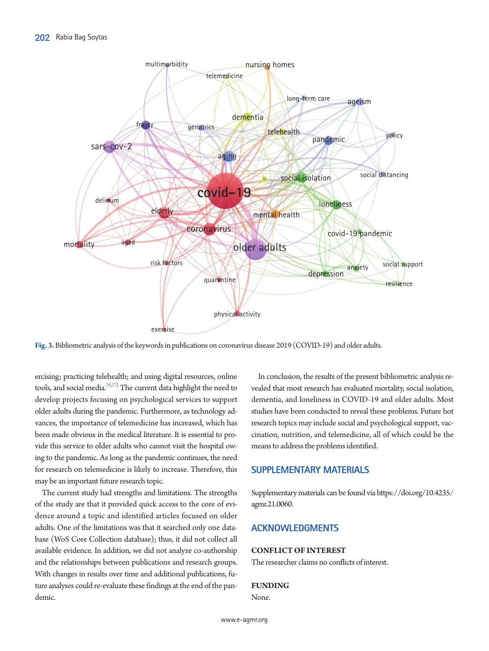<span id="page-5-0"></span>

**Fig. 3.** Bibliometric analysis of the keywords in publications on coronavirus disease 2019 (COVID-19) and older adults.

ercising; practicing telehealth; and using digital resources, online tools, and social media. $^{26,27)}$  $^{26,27)}$  $^{26,27)}$  The current data highlight the need to develop projects focusing on psychological services to support older adults during the pandemic. Furthermore, as technology advances, the importance of telemedicine has increased, which has been made obvious in the medical literature. It is essential to provide this service to older adults who cannot visit the hospital owing to the pandemic. As long as the pandemic continues, the need for research on telemedicine is likely to increase. Therefore, this may be an important future research topic.

The current study had strengths and limitations. The strengths of the study are that it provided quick access to the core of evidence around a topic and identified articles focused on older adults. One of the limitations was that it searched only one database (WoS Core Collection database); thus, it did not collect all available evidence. In addition, we did not analyze co-authorship and the relationships between publications and research groups. With changes in results over time and additional publications, future analyses could re-evaluate these findings at the end of the pandemic.

In conclusion, the results of the present bibliometric analysis revealed that most research has evaluated mortality, social isolation, dementia, and loneliness in COVID-19 and older adults. Most studies have been conducted to reveal these problems. Future hot research topics may include social and psychological support, vaccination, nutrition, and telemedicine, all of which could be the means to address the problems identified.

#### <span id="page-5-1"></span>**SUPPLEMENTARY MATERIALS**

Supplementary materials can be found via [https://doi.org/10.4235/](https://doi.org/10.4235/agmr.21.0060) [agmr.21.0060.](https://doi.org/10.4235/agmr.21.0060)

# **ACKNOWLEDGMENTS**

#### **CONFLICT OF INTEREST**

The researcher claims no conflicts of interest.

#### **FUNDING**

None.